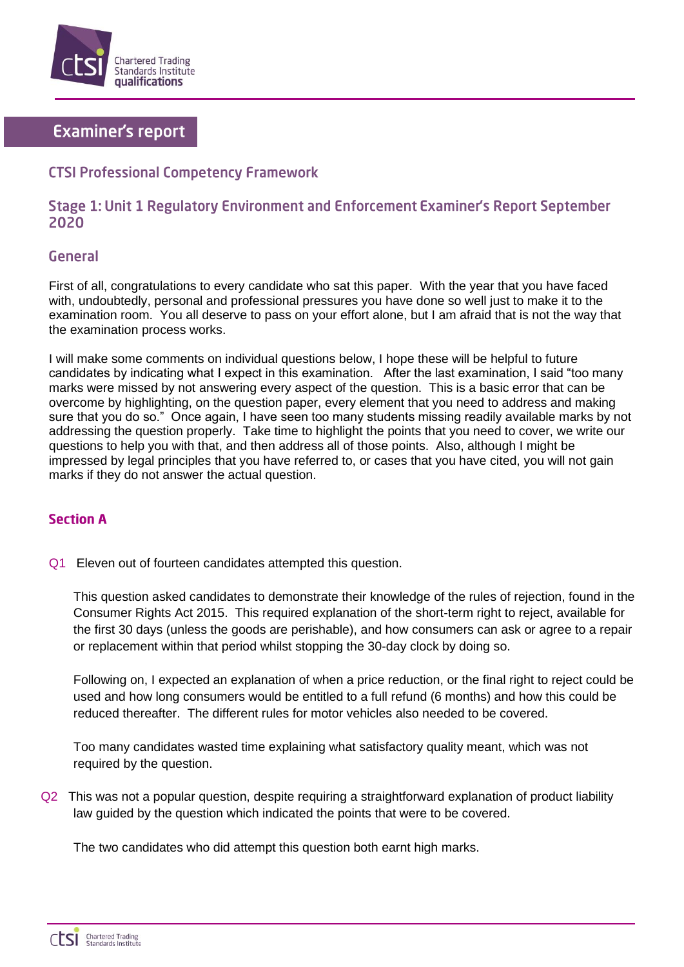

# **Examiner's report**

## **CTSI Professional Competency Framework**

## Stage 1: Unit 1 Regulatory Environment and Enforcement Examiner's Report September 2020

#### **General**

First of all, congratulations to every candidate who sat this paper. With the year that you have faced with, undoubtedly, personal and professional pressures you have done so well just to make it to the examination room. You all deserve to pass on your effort alone, but I am afraid that is not the way that the examination process works.

I will make some comments on individual questions below, I hope these will be helpful to future candidates by indicating what I expect in this examination. After the last examination, I said "too many marks were missed by not answering every aspect of the question. This is a basic error that can be overcome by highlighting, on the question paper, every element that you need to address and making sure that you do so." Once again, I have seen too many students missing readily available marks by not addressing the question properly. Take time to highlight the points that you need to cover, we write our questions to help you with that, and then address all of those points. Also, although I might be impressed by legal principles that you have referred to, or cases that you have cited, you will not gain marks if they do not answer the actual question.

## **Section A**

Q1 Eleven out of fourteen candidates attempted this question.

This question asked candidates to demonstrate their knowledge of the rules of rejection, found in the Consumer Rights Act 2015. This required explanation of the short-term right to reject, available for the first 30 days (unless the goods are perishable), and how consumers can ask or agree to a repair or replacement within that period whilst stopping the 30-day clock by doing so.

Following on, I expected an explanation of when a price reduction, or the final right to reject could be used and how long consumers would be entitled to a full refund (6 months) and how this could be reduced thereafter. The different rules for motor vehicles also needed to be covered.

Too many candidates wasted time explaining what satisfactory quality meant, which was not required by the question.

Q2 This was not a popular question, despite requiring a straightforward explanation of product liability law guided by the question which indicated the points that were to be covered.

The two candidates who did attempt this question both earnt high marks.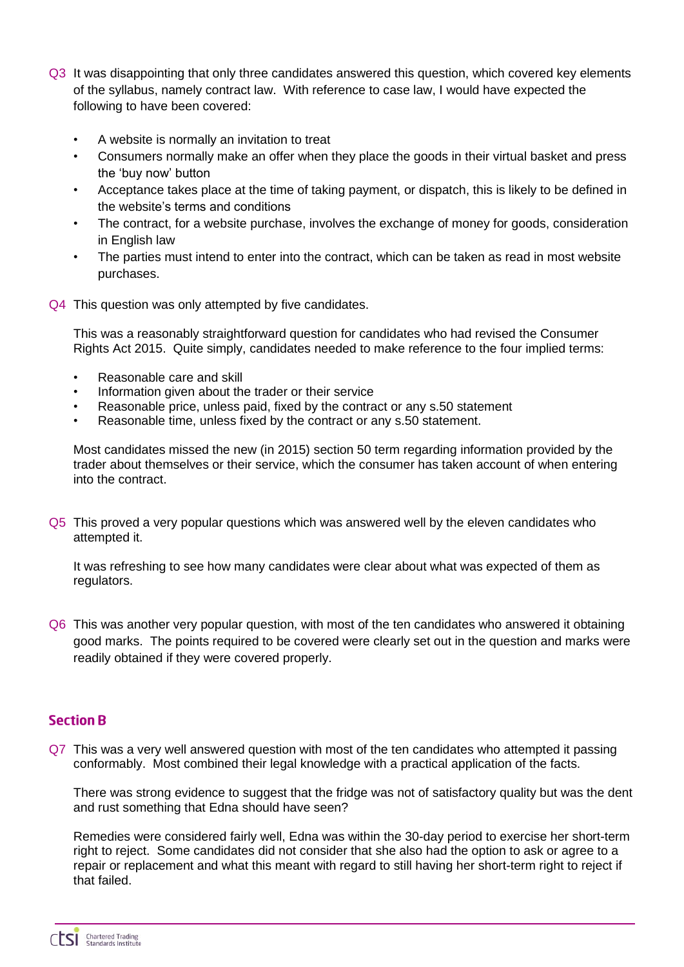- Q3 It was disappointing that only three candidates answered this question, which covered key elements of the syllabus, namely contract law. With reference to case law, I would have expected the following to have been covered:
	- A website is normally an invitation to treat
	- Consumers normally make an offer when they place the goods in their virtual basket and press the 'buy now' button
	- Acceptance takes place at the time of taking payment, or dispatch, this is likely to be defined in the website's terms and conditions
	- The contract, for a website purchase, involves the exchange of money for goods, consideration in English law
	- The parties must intend to enter into the contract, which can be taken as read in most website purchases.
- Q4 This question was only attempted by five candidates.

This was a reasonably straightforward question for candidates who had revised the Consumer Rights Act 2015. Quite simply, candidates needed to make reference to the four implied terms:

- Reasonable care and skill
- Information given about the trader or their service
- Reasonable price, unless paid, fixed by the contract or any s.50 statement
- Reasonable time, unless fixed by the contract or any s.50 statement.

Most candidates missed the new (in 2015) section 50 term regarding information provided by the trader about themselves or their service, which the consumer has taken account of when entering into the contract.

Q5 This proved a very popular questions which was answered well by the eleven candidates who attempted it.

It was refreshing to see how many candidates were clear about what was expected of them as regulators.

Q6 This was another very popular question, with most of the ten candidates who answered it obtaining good marks. The points required to be covered were clearly set out in the question and marks were readily obtained if they were covered properly.

## **Section R**

Q7 This was a very well answered question with most of the ten candidates who attempted it passing conformably. Most combined their legal knowledge with a practical application of the facts.

There was strong evidence to suggest that the fridge was not of satisfactory quality but was the dent and rust something that Edna should have seen?

Remedies were considered fairly well, Edna was within the 30-day period to exercise her short-term right to reject. Some candidates did not consider that she also had the option to ask or agree to a repair or replacement and what this meant with regard to still having her short-term right to reject if that failed.

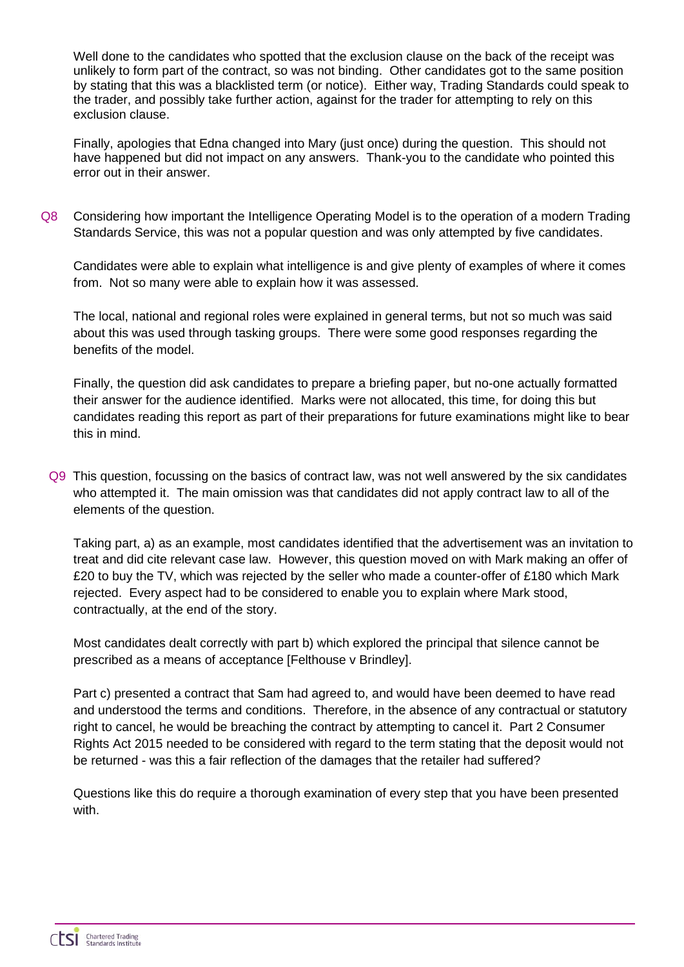Well done to the candidates who spotted that the exclusion clause on the back of the receipt was unlikely to form part of the contract, so was not binding. Other candidates got to the same position by stating that this was a blacklisted term (or notice). Either way, Trading Standards could speak to the trader, and possibly take further action, against for the trader for attempting to rely on this exclusion clause.

Finally, apologies that Edna changed into Mary (just once) during the question. This should not have happened but did not impact on any answers. Thank-you to the candidate who pointed this error out in their answer.

Q8 Considering how important the Intelligence Operating Model is to the operation of a modern Trading Standards Service, this was not a popular question and was only attempted by five candidates.

Candidates were able to explain what intelligence is and give plenty of examples of where it comes from. Not so many were able to explain how it was assessed.

The local, national and regional roles were explained in general terms, but not so much was said about this was used through tasking groups. There were some good responses regarding the benefits of the model.

Finally, the question did ask candidates to prepare a briefing paper, but no-one actually formatted their answer for the audience identified. Marks were not allocated, this time, for doing this but candidates reading this report as part of their preparations for future examinations might like to bear this in mind.

Q9 This question, focussing on the basics of contract law, was not well answered by the six candidates who attempted it. The main omission was that candidates did not apply contract law to all of the elements of the question.

Taking part, a) as an example, most candidates identified that the advertisement was an invitation to treat and did cite relevant case law. However, this question moved on with Mark making an offer of £20 to buy the TV, which was rejected by the seller who made a counter-offer of £180 which Mark rejected. Every aspect had to be considered to enable you to explain where Mark stood, contractually, at the end of the story.

Most candidates dealt correctly with part b) which explored the principal that silence cannot be prescribed as a means of acceptance [Felthouse v Brindley].

Part c) presented a contract that Sam had agreed to, and would have been deemed to have read and understood the terms and conditions. Therefore, in the absence of any contractual or statutory right to cancel, he would be breaching the contract by attempting to cancel it. Part 2 Consumer Rights Act 2015 needed to be considered with regard to the term stating that the deposit would not be returned - was this a fair reflection of the damages that the retailer had suffered?

Questions like this do require a thorough examination of every step that you have been presented with.